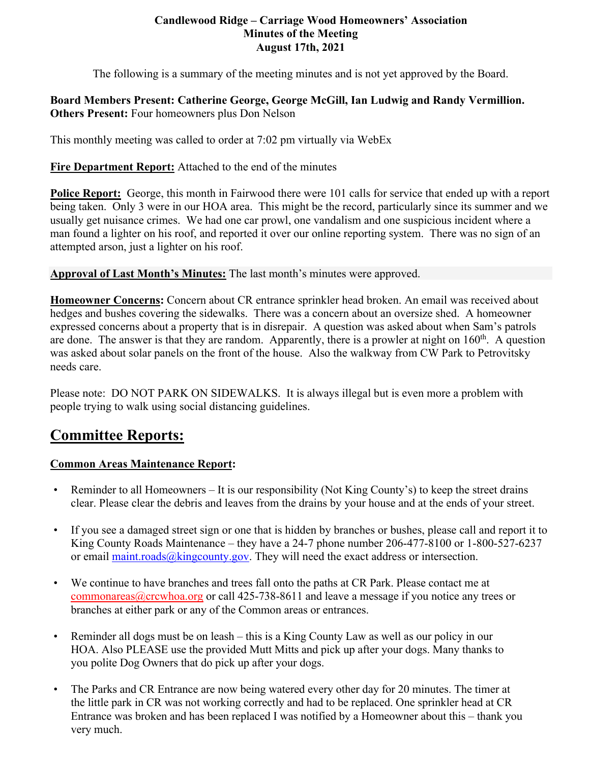## **Candlewood Ridge – Carriage Wood Homeowners' Association Minutes of the Meeting August 17th, 2021**

The following is a summary of the meeting minutes and is not yet approved by the Board.

## **Board Members Present: Catherine George, George McGill, Ian Ludwig and Randy Vermillion. Others Present:** Four homeowners plus Don Nelson

This monthly meeting was called to order at 7:02 pm virtually via WebEx

## **Fire Department Report:** Attached to the end of the minutes

**Police Report:** George, this month in Fairwood there were 101 calls for service that ended up with a report being taken. Only 3 were in our HOA area. This might be the record, particularly since its summer and we usually get nuisance crimes. We had one car prowl, one vandalism and one suspicious incident where a man found a lighter on his roof, and reported it over our online reporting system. There was no sign of an attempted arson, just a lighter on his roof.

## **Approval of Last Month's Minutes:** The last month's minutes were approved.

**Homeowner Concerns:** Concern about CR entrance sprinkler head broken. An email was received about hedges and bushes covering the sidewalks. There was a concern about an oversize shed. A homeowner expressed concerns about a property that is in disrepair. A question was asked about when Sam's patrols are done. The answer is that they are random. Apparently, there is a prowler at night on  $160<sup>th</sup>$ . A question was asked about solar panels on the front of the house. Also the walkway from CW Park to Petrovitsky needs care.

Please note: DO NOT PARK ON SIDEWALKS. It is always illegal but is even more a problem with people trying to walk using social distancing guidelines.

# **Committee Reports:**

## **Common Areas Maintenance Report:**

- Reminder to all Homeowners It is our responsibility (Not King County's) to keep the street drains clear. Please clear the debris and leaves from the drains by your house and at the ends of your street.
- If you see a damaged street sign or one that is hidden by branches or bushes, please call and report it to King County Roads Maintenance – they have a 24-7 phone number 206-477-8100 or 1-800-527-6237 or email maint.roads@kingcounty.gov. They will need the exact address or intersection.
- We continue to have branches and trees fall onto the paths at CR Park. Please contact me at commonareas@crcwhoa.org or call 425-738-8611 and leave a message if you notice any trees or branches at either park or any of the Common areas or entrances.
- Reminder all dogs must be on leash this is a King County Law as well as our policy in our HOA. Also PLEASE use the provided Mutt Mitts and pick up after your dogs. Many thanks to you polite Dog Owners that do pick up after your dogs.
- The Parks and CR Entrance are now being watered every other day for 20 minutes. The timer at the little park in CR was not working correctly and had to be replaced. One sprinkler head at CR Entrance was broken and has been replaced I was notified by a Homeowner about this – thank you very much.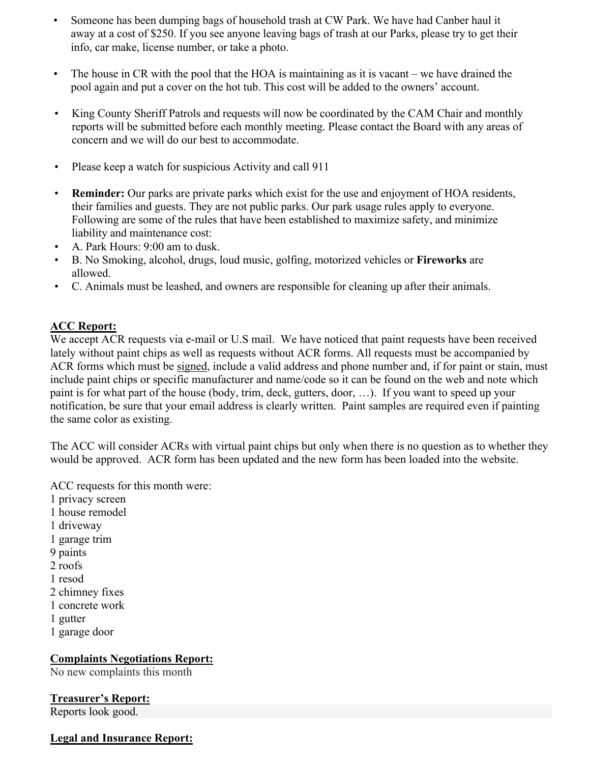- Someone has been dumping bags of household trash at CW Park. We have had Canber haul it away at a cost of \$250. If you see anyone leaving bags of trash at our Parks, please try to get their info, car make, license number, or take a photo.
- The house in CR with the pool that the HOA is maintaining as it is vacant we have drained the pool again and put a cover on the hot tub. This cost will be added to the owners' account.
- King County Sheriff Patrols and requests will now be coordinated by the CAM Chair and monthly reports will be submitted before each monthly meeting. Please contact the Board with any areas of concern and we will do our best to accommodate.
- Please keep a watch for suspicious Activity and call 911
- **Reminder:** Our parks are private parks which exist for the use and enjoyment of HOA residents, their families and guests. They are not public parks. Our park usage rules apply to everyone. Following are some of the rules that have been established to maximize safety, and minimize liability and maintenance cost:
- A. Park Hours: 9:00 am to dusk.
- B. No Smoking, alcohol, drugs, loud music, golfing, motorized vehicles or **Fireworks** are allowed.
- C. Animals must be leashed, and owners are responsible for cleaning up after their animals.

## **ACC Report:**

We accept ACR requests via e-mail or U.S mail. We have noticed that paint requests have been received lately without paint chips as well as requests without ACR forms. All requests must be accompanied by ACR forms which must be signed, include a valid address and phone number and, if for paint or stain, must include paint chips or specific manufacturer and name/code so it can be found on the web and note which paint is for what part of the house (body, trim, deck, gutters, door, …). If you want to speed up your notification, be sure that your email address is clearly written. Paint samples are required even if painting the same color as existing.

The ACC will consider ACRs with virtual paint chips but only when there is no question as to whether they would be approved. ACR form has been updated and the new form has been loaded into the website.

ACC requests for this month were: 1 privacy screen 1 house remodel 1 driveway 1 garage trim 9 paints 2 roofs 1 resod 2 chimney fixes 1 concrete work 1 gutter 1 garage door

## **Complaints Negotiations Report:**

No new complaints this month

## **Treasurer's Report:**

Reports look good.

## **Legal and Insurance Report:**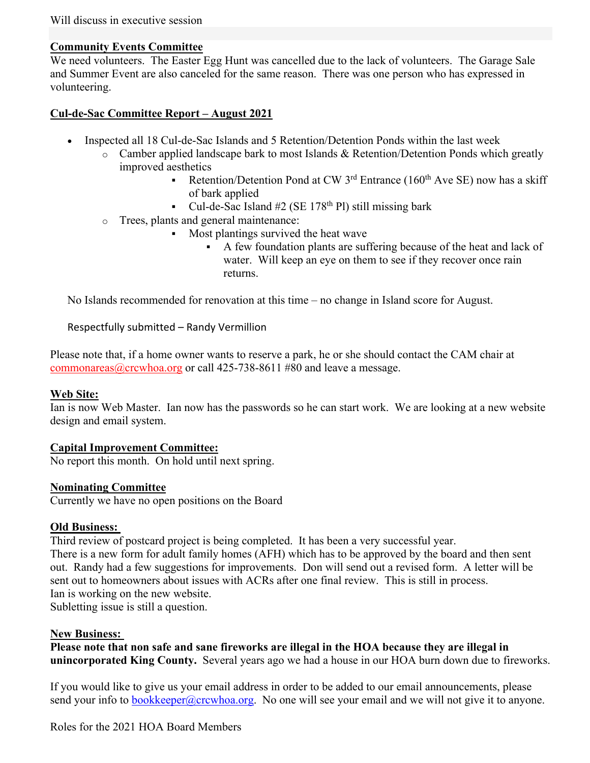Will discuss in executive session

## **Community Events Committee**

We need volunteers. The Easter Egg Hunt was cancelled due to the lack of volunteers. The Garage Sale and Summer Event are also canceled for the same reason. There was one person who has expressed in volunteering.

## **Cul-de-Sac Committee Report – August 2021**

- Inspected all 18 Cul-de-Sac Islands and 5 Retention/Detention Ponds within the last week
	- o Camber applied landscape bark to most Islands & Retention/Detention Ponds which greatly improved aesthetics
		- Retention/Detention Pond at CW  $3<sup>rd</sup>$  Entrance (160<sup>th</sup> Ave SE) now has a skiff of bark applied
		- Cul-de-Sac Island  $#2$  (SE 178<sup>th</sup> Pl) still missing bark
	- o Trees, plants and general maintenance:
		- Most plantings survived the heat wave
			- A few foundation plants are suffering because of the heat and lack of water. Will keep an eye on them to see if they recover once rain returns.

No Islands recommended for renovation at this time – no change in Island score for August.

Respectfully submitted – Randy Vermillion

Please note that, if a home owner wants to reserve a park, he or she should contact the CAM chair at commonareas@crcwhoa.org or call 425-738-8611 #80 and leave a message.

## **Web Site:**

Ian is now Web Master. Ian now has the passwords so he can start work. We are looking at a new website design and email system.

## **Capital Improvement Committee:**

No report this month. On hold until next spring.

## **Nominating Committee**

Currently we have no open positions on the Board

#### **Old Business:**

Third review of postcard project is being completed. It has been a very successful year. There is a new form for adult family homes (AFH) which has to be approved by the board and then sent out. Randy had a few suggestions for improvements. Don will send out a revised form. A letter will be sent out to homeowners about issues with ACRs after one final review. This is still in process. Ian is working on the new website.

Subletting issue is still a question.

## **New Business:**

**Please note that non safe and sane fireworks are illegal in the HOA because they are illegal in unincorporated King County.** Several years ago we had a house in our HOA burn down due to fireworks.

If you would like to give us your email address in order to be added to our email announcements, please send your info to bookkeeper@crcwhoa.org. No one will see your email and we will not give it to anyone.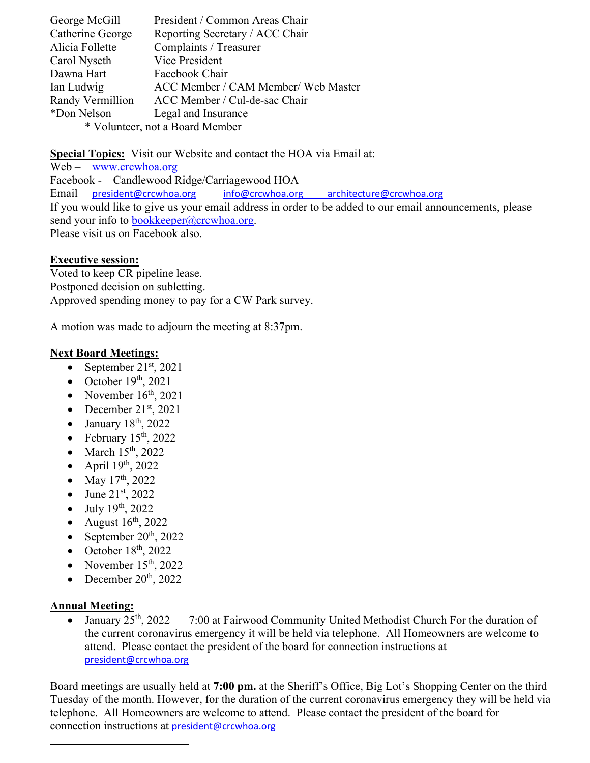| George McGill                   | President / Common Areas Chair      |
|---------------------------------|-------------------------------------|
| Catherine George                | Reporting Secretary / ACC Chair     |
| Alicia Follette                 | Complaints / Treasurer              |
| Carol Nyseth                    | Vice President                      |
| Dawna Hart                      | Facebook Chair                      |
| Ian Ludwig                      | ACC Member / CAM Member/ Web Master |
| Randy Vermillion                | ACC Member / Cul-de-sac Chair       |
| *Don Nelson                     | Legal and Insurance                 |
| * Volunteer, not a Board Member |                                     |

**Special Topics:** Visit our Website and contact the HOA via Email at:

Web – www.crcwhoa.org Facebook - Candlewood Ridge/Carriagewood HOA Email – president@crcwhoa.org info@crcwhoa.org architecture@crcwhoa.org If you would like to give us your email address in order to be added to our email announcements, please send your info to **bookkeeper** $@$ crcwhoa.org. Please visit us on Facebook also.

## **Executive session:**

Voted to keep CR pipeline lease. Postponed decision on subletting. Approved spending money to pay for a CW Park survey.

A motion was made to adjourn the meeting at 8:37pm.

## **Next Board Meetings:**

- September  $21<sup>st</sup>$ , 2021
- October  $19<sup>th</sup>$ , 2021
- November  $16<sup>th</sup>$ , 2021
- December  $21^{st}$ , 2021
- $\bullet$  January 18<sup>th</sup>, 2022
- February  $15<sup>th</sup>$ , 2022
- March  $15<sup>th</sup>$ , 2022
- April  $19<sup>th</sup>$ , 2022
- May  $17^{th}$ , 2022
- June  $21^{st}$ , 2022
- $\bullet$  July 19<sup>th</sup>, 2022
- August  $16^{th}$ , 2022
- September  $20<sup>th</sup>$ , 2022
- October  $18<sup>th</sup>$ , 2022
- November  $15<sup>th</sup>$ , 2022
- December  $20<sup>th</sup>$ , 2022

## **Annual Meeting:**

January 25<sup>th</sup>, 2022 7:00 at Fairwood Community United Methodist Church For the duration of the current coronavirus emergency it will be held via telephone. All Homeowners are welcome to attend. Please contact the president of the board for connection instructions at president@crcwhoa.org

Board meetings are usually held at **7:00 pm.** at the Sheriff's Office, Big Lot's Shopping Center on the third Tuesday of the month. However, for the duration of the current coronavirus emergency they will be held via telephone. All Homeowners are welcome to attend. Please contact the president of the board for connection instructions at president@crcwhoa.org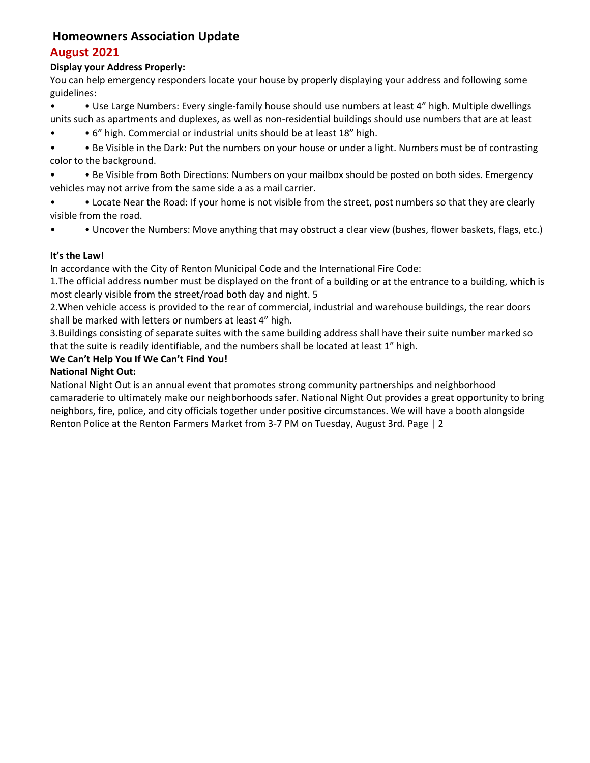## **Homeowners Association Update**

## **August 2021**

## **Display your Address Properly:**

You can help emergency responders locate your house by properly displaying your address and following some guidelines:

• • Use Large Numbers: Every single‐family house should use numbers at least 4" high. Multiple dwellings units such as apartments and duplexes, as well as non-residential buildings should use numbers that are at least

- • 6" high. Commercial or industrial units should be at least 18" high.
- • Be Visible in the Dark: Put the numbers on your house or under a light. Numbers must be of contrasting color to the background.
- • Be Visible from Both Directions: Numbers on your mailbox should be posted on both sides. Emergency vehicles may not arrive from the same side a as a mail carrier.
- • Locate Near the Road: If your home is not visible from the street, post numbers so that they are clearly visible from the road.
- • Uncover the Numbers: Move anything that may obstruct a clear view (bushes, flower baskets, flags, etc.)

## **It's the Law!**

In accordance with the City of Renton Municipal Code and the International Fire Code:

1.The official address number must be displayed on the front of a building or at the entrance to a building, which is most clearly visible from the street/road both day and night. 5

2.When vehicle access is provided to the rear of commercial, industrial and warehouse buildings, the rear doors shall be marked with letters or numbers at least 4" high.

3.Buildings consisting of separate suites with the same building address shall have their suite number marked so that the suite is readily identifiable, and the numbers shall be located at least 1" high.

#### **We Can't Help You If We Can't Find You!**

#### **National Night Out:**

National Night Out is an annual event that promotes strong community partnerships and neighborhood camaraderie to ultimately make our neighborhoods safer. National Night Out provides a great opportunity to bring neighbors, fire, police, and city officials together under positive circumstances. We will have a booth alongside Renton Police at the Renton Farmers Market from 3‐7 PM on Tuesday, August 3rd. Page | 2